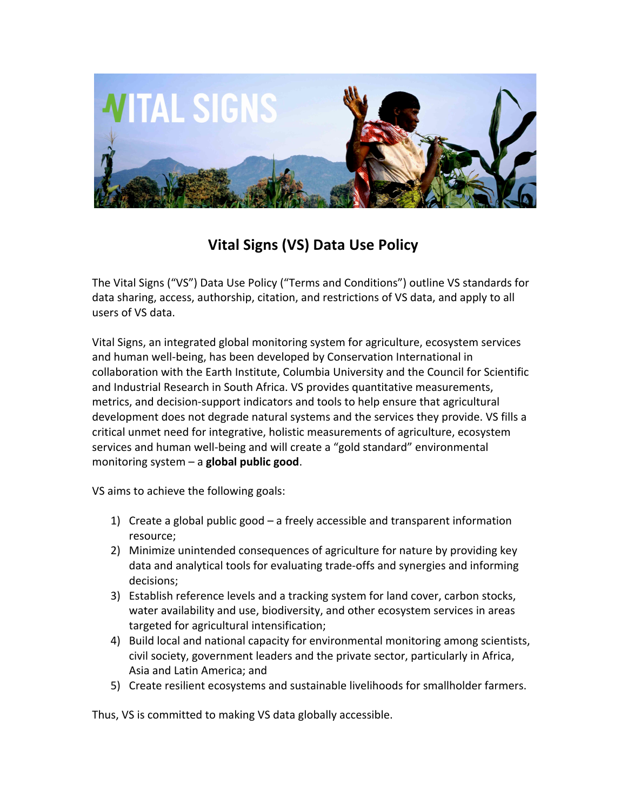

# **Vital Signs (VS) Data Use Policy**

The Vital Signs ("VS") Data Use Policy ("Terms and Conditions") outline VS standards for data sharing, access, authorship, citation, and restrictions of VS data, and apply to all users of VS data.

Vital Signs, an integrated global monitoring system for agriculture, ecosystem services and human well-being, has been developed by Conservation International in collaboration with the Earth Institute, Columbia University and the Council for Scientific and Industrial Research in South Africa. VS provides quantitative measurements, metrics, and decision-support indicators and tools to help ensure that agricultural development does not degrade natural systems and the services they provide. VS fills a critical unmet need for integrative, holistic measurements of agriculture, ecosystem services and human well-being and will create a "gold standard" environmental monitoring system – a **global public good**.

VS aims to achieve the following goals:

- 1) Create a global public good a freely accessible and transparent information resource;
- 2) Minimize unintended consequences of agriculture for nature by providing key data and analytical tools for evaluating trade-offs and synergies and informing decisions;
- 3) Establish reference levels and a tracking system for land cover, carbon stocks, water availability and use, biodiversity, and other ecosystem services in areas targeted for agricultural intensification;
- 4) Build local and national capacity for environmental monitoring among scientists, civil society, government leaders and the private sector, particularly in Africa, Asia and Latin America; and
- 5) Create resilient ecosystems and sustainable livelihoods for smallholder farmers.

Thus, VS is committed to making VS data globally accessible.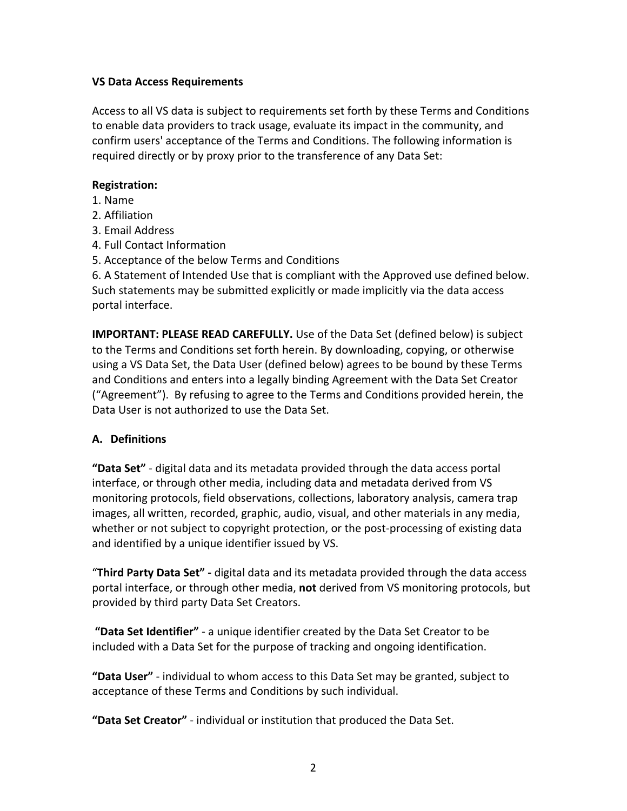### **VS Data Access Requirements**

Access to all VS data is subject to requirements set forth by these Terms and Conditions to enable data providers to track usage, evaluate its impact in the community, and confirm users' acceptance of the Terms and Conditions. The following information is required directly or by proxy prior to the transference of any Data Set:

### **Registration:**

- 1. Name
- 2. Affiliation
- 3. Email Address
- 4. Full Contact Information
- 5. Acceptance of the below Terms and Conditions

6. A Statement of Intended Use that is compliant with the Approved use defined below. Such statements may be submitted explicitly or made implicitly via the data access portal interface.

**IMPORTANT: PLEASE READ CAREFULLY.** Use of the Data Set (defined below) is subject to the Terms and Conditions set forth herein. By downloading, copying, or otherwise using a VS Data Set, the Data User (defined below) agrees to be bound by these Terms and Conditions and enters into a legally binding Agreement with the Data Set Creator ("Agreement"). By refusing to agree to the Terms and Conditions provided herein, the Data User is not authorized to use the Data Set.

# **A. Definitions**

**"Data Set"** - digital data and its metadata provided through the data access portal interface, or through other media, including data and metadata derived from VS monitoring protocols, field observations, collections, laboratory analysis, camera trap images, all written, recorded, graphic, audio, visual, and other materials in any media, whether or not subject to copyright protection, or the post-processing of existing data and identified by a unique identifier issued by VS.

**"Third Party Data Set"** - digital data and its metadata provided through the data access portal interface, or through other media, not derived from VS monitoring protocols, but provided by third party Data Set Creators.

**"Data Set Identifier"** - a unique identifier created by the Data Set Creator to be included with a Data Set for the purpose of tracking and ongoing identification.

**"Data User"** - individual to whom access to this Data Set may be granted, subject to acceptance of these Terms and Conditions by such individual.

"Data Set Creator" - individual or institution that produced the Data Set.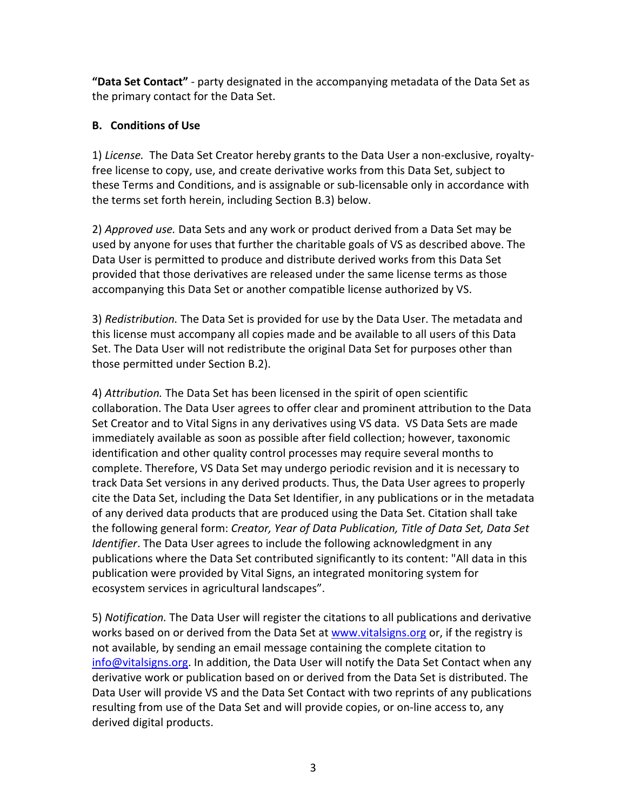**"Data Set Contact"** - party designated in the accompanying metadata of the Data Set as the primary contact for the Data Set.

# **B. Conditions of Use**

1) License. The Data Set Creator hereby grants to the Data User a non-exclusive, royaltyfree license to copy, use, and create derivative works from this Data Set, subject to these Terms and Conditions, and is assignable or sub-licensable only in accordance with the terms set forth herein, including Section B.3) below.

2) *Approved use.* Data Sets and any work or product derived from a Data Set may be used by anyone for uses that further the charitable goals of VS as described above. The Data User is permitted to produce and distribute derived works from this Data Set provided that those derivatives are released under the same license terms as those accompanying this Data Set or another compatible license authorized by VS.

3) *Redistribution*. The Data Set is provided for use by the Data User. The metadata and this license must accompany all copies made and be available to all users of this Data Set. The Data User will not redistribute the original Data Set for purposes other than those permitted under Section B.2).

4) Attribution. The Data Set has been licensed in the spirit of open scientific collaboration. The Data User agrees to offer clear and prominent attribution to the Data Set Creator and to Vital Signs in any derivatives using VS data. VS Data Sets are made immediately available as soon as possible after field collection; however, taxonomic identification and other quality control processes may require several months to complete. Therefore, VS Data Set may undergo periodic revision and it is necessary to track Data Set versions in any derived products. Thus, the Data User agrees to properly cite the Data Set, including the Data Set Identifier, in any publications or in the metadata of any derived data products that are produced using the Data Set. Citation shall take the following general form: *Creator, Year of Data Publication, Title of Data Set, Data Set Identifier*. The Data User agrees to include the following acknowledgment in any publications where the Data Set contributed significantly to its content: "All data in this publication were provided by Vital Signs, an integrated monitoring system for ecosystem services in agricultural landscapes".

5) *Notification*. The Data User will register the citations to all publications and derivative works based on or derived from the Data Set at www.vitalsigns.org or, if the registry is not available, by sending an email message containing the complete citation to info@vitalsigns.org. In addition, the Data User will notify the Data Set Contact when any derivative work or publication based on or derived from the Data Set is distributed. The Data User will provide VS and the Data Set Contact with two reprints of any publications resulting from use of the Data Set and will provide copies, or on-line access to, any derived digital products.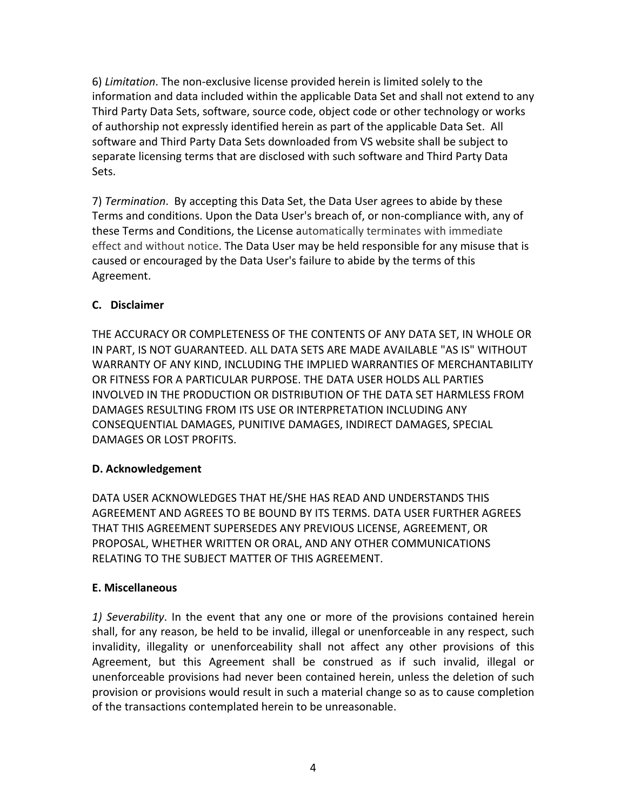6) *Limitation*. The non-exclusive license provided herein is limited solely to the information and data included within the applicable Data Set and shall not extend to any Third Party Data Sets, software, source code, object code or other technology or works of authorship not expressly identified herein as part of the applicable Data Set. All software and Third Party Data Sets downloaded from VS website shall be subject to separate licensing terms that are disclosed with such software and Third Party Data Sets. 

7) *Termination*. By accepting this Data Set, the Data User agrees to abide by these Terms and conditions. Upon the Data User's breach of, or non-compliance with, any of these Terms and Conditions, the License automatically terminates with immediate effect and without notice. The Data User may be held responsible for any misuse that is caused or encouraged by the Data User's failure to abide by the terms of this Agreement.

# **C. Disclaimer**

THE ACCURACY OR COMPLETENESS OF THE CONTENTS OF ANY DATA SET, IN WHOLE OR IN PART, IS NOT GUARANTEED. ALL DATA SETS ARE MADE AVAILABLE "AS IS" WITHOUT WARRANTY OF ANY KIND, INCLUDING THE IMPLIED WARRANTIES OF MERCHANTABILITY OR FITNESS FOR A PARTICULAR PURPOSE. THE DATA USER HOLDS ALL PARTIES INVOLVED IN THE PRODUCTION OR DISTRIBUTION OF THE DATA SET HARMLESS FROM DAMAGES RESULTING FROM ITS USE OR INTERPRETATION INCLUDING ANY CONSEQUENTIAL DAMAGES, PUNITIVE DAMAGES, INDIRECT DAMAGES, SPECIAL DAMAGES OR LOST PROFITS.

# **D. Acknowledgement**

DATA USER ACKNOWLEDGES THAT HE/SHE HAS READ AND UNDERSTANDS THIS AGREEMENT AND AGREES TO BE BOUND BY ITS TERMS. DATA USER FURTHER AGREES THAT THIS AGREEMENT SUPERSEDES ANY PREVIOUS LICENSE, AGREEMENT, OR PROPOSAL, WHETHER WRITTEN OR ORAL, AND ANY OTHER COMMUNICATIONS RELATING TO THE SUBJECT MATTER OF THIS AGREEMENT.

# **E. Miscellaneous**

1) Severability. In the event that any one or more of the provisions contained herein shall, for any reason, be held to be invalid, illegal or unenforceable in any respect, such invalidity, illegality or unenforceability shall not affect any other provisions of this Agreement, but this Agreement shall be construed as if such invalid, illegal or unenforceable provisions had never been contained herein, unless the deletion of such provision or provisions would result in such a material change so as to cause completion of the transactions contemplated herein to be unreasonable.